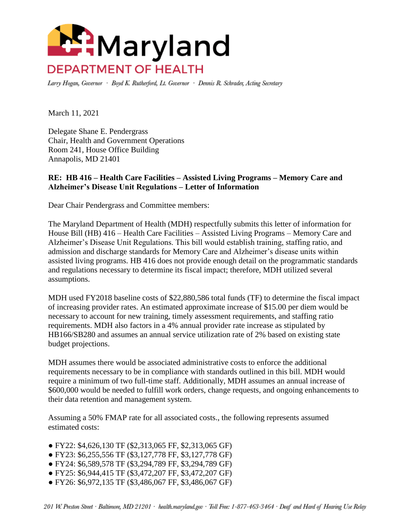

Larry Hogan, Governor · Boyd K. Rutherford, Lt. Governor · Dennis R. Schrader, Acting Secretary

March 11, 2021

Delegate Shane E. Pendergrass Chair, Health and Government Operations Room 241, House Office Building Annapolis, MD 21401

## **RE: HB 416 – Health Care Facilities – Assisted Living Programs – Memory Care and Alzheimer's Disease Unit Regulations – Letter of Information**

Dear Chair Pendergrass and Committee members:

The Maryland Department of Health (MDH) respectfully submits this letter of information for House Bill (HB) 416 – Health Care Facilities – Assisted Living Programs – Memory Care and Alzheimer's Disease Unit Regulations. This bill would establish training, staffing ratio, and admission and discharge standards for Memory Care and Alzheimer's disease units within assisted living programs. HB 416 does not provide enough detail on the programmatic standards and regulations necessary to determine its fiscal impact; therefore, MDH utilized several assumptions.

MDH used FY2018 baseline costs of \$22,880,586 total funds (TF) to determine the fiscal impact of increasing provider rates. An estimated approximate increase of \$15.00 per diem would be necessary to account for new training, timely assessment requirements, and staffing ratio requirements. MDH also factors in a 4% annual provider rate increase as stipulated by HB166/SB280 and assumes an annual service utilization rate of 2% based on existing state budget projections.

MDH assumes there would be associated administrative costs to enforce the additional requirements necessary to be in compliance with standards outlined in this bill. MDH would require a minimum of two full-time staff. Additionally, MDH assumes an annual increase of \$600,000 would be needed to fulfill work orders, change requests, and ongoing enhancements to their data retention and management system.

Assuming a 50% FMAP rate for all associated costs., the following represents assumed estimated costs:

- FY22: \$4,626,130 TF (\$2,313,065 FF, \$2,313,065 GF)
- FY23: \$6,255,556 TF (\$3,127,778 FF, \$3,127,778 GF)
- FY24: \$6,589,578 TF (\$3,294,789 FF, \$3,294,789 GF)
- FY25: \$6,944,415 TF (\$3,472,207 FF, \$3,472,207 GF)
- FY26: \$6,972,135 TF (\$3,486,067 FF, \$3,486,067 GF)